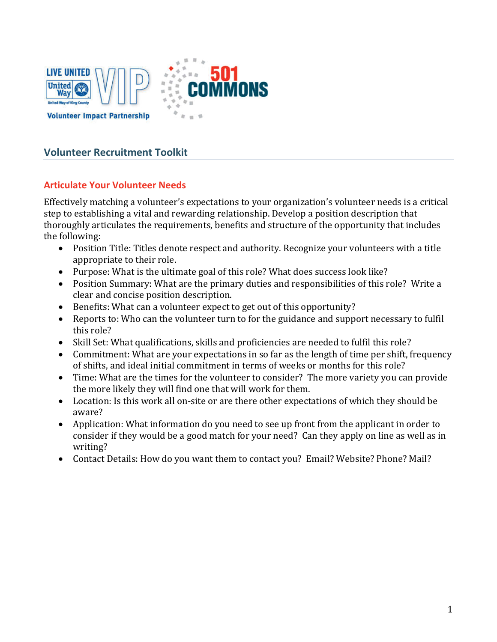



# **Volunteer Recruitment Toolkit**

## **Articulate Your Volunteer Needs**

Effectively matching a volunteer's expectations to your organization's volunteer needs is a critical step to establishing a vital and rewarding relationship. Develop a position description that thoroughly articulates the requirements, benefits and structure of the opportunity that includes the following:

- Position Title: Titles denote respect and authority. Recognize your volunteers with a title appropriate to their role.
- Purpose: What is the ultimate goal of this role? What does success look like?
- Position Summary: What are the primary duties and responsibilities of this role? Write a clear and concise position description.
- Benefits: What can a volunteer expect to get out of this opportunity?
- Reports to: Who can the volunteer turn to for the guidance and support necessary to fulfil this role?
- Skill Set: What qualifications, skills and proficiencies are needed to fulfil this role?
- Commitment: What are your expectations in so far as the length of time per shift, frequency of shifts, and ideal initial commitment in terms of weeks or months for this role?
- Time: What are the times for the volunteer to consider? The more variety you can provide the more likely they will find one that will work for them.
- Location: Is this work all on-site or are there other expectations of which they should be aware?
- Application: What information do you need to see up front from the applicant in order to consider if they would be a good match for your need? Can they apply on line as well as in writing?
- Contact Details: How do you want them to contact you? Email? Website? Phone? Mail?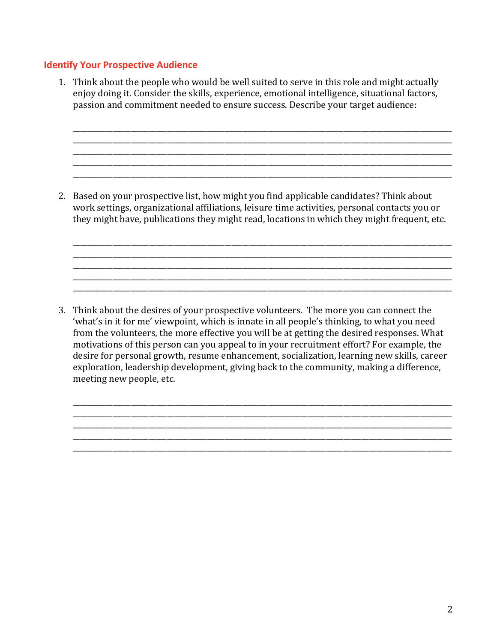#### **Identify Your Prospective Audience**

1. Think about the people who would be well suited to serve in this role and might actually enjoy doing it. Consider the skills, experience, emotional intelligence, situational factors, passion and commitment needed to ensure success. Describe your target audience:

\_\_\_\_\_\_\_\_\_\_\_\_\_\_\_\_\_\_\_\_\_\_\_\_\_\_\_\_\_\_\_\_\_\_\_\_\_\_\_\_\_\_\_\_\_\_\_\_\_\_\_\_\_\_\_\_\_\_\_\_\_\_\_\_\_\_\_\_\_\_\_\_\_\_\_\_\_\_\_\_\_\_\_\_\_\_\_\_\_\_\_\_\_\_\_\_\_\_\_\_\_\_\_\_\_ \_\_\_\_\_\_\_\_\_\_\_\_\_\_\_\_\_\_\_\_\_\_\_\_\_\_\_\_\_\_\_\_\_\_\_\_\_\_\_\_\_\_\_\_\_\_\_\_\_\_\_\_\_\_\_\_\_\_\_\_\_\_\_\_\_\_\_\_\_\_\_\_\_\_\_\_\_\_\_\_\_\_\_\_\_\_\_\_\_\_\_\_\_\_\_\_\_\_\_\_\_\_\_\_\_ \_\_\_\_\_\_\_\_\_\_\_\_\_\_\_\_\_\_\_\_\_\_\_\_\_\_\_\_\_\_\_\_\_\_\_\_\_\_\_\_\_\_\_\_\_\_\_\_\_\_\_\_\_\_\_\_\_\_\_\_\_\_\_\_\_\_\_\_\_\_\_\_\_\_\_\_\_\_\_\_\_\_\_\_\_\_\_\_\_\_\_\_\_\_\_\_\_\_\_\_\_\_\_\_\_ \_\_\_\_\_\_\_\_\_\_\_\_\_\_\_\_\_\_\_\_\_\_\_\_\_\_\_\_\_\_\_\_\_\_\_\_\_\_\_\_\_\_\_\_\_\_\_\_\_\_\_\_\_\_\_\_\_\_\_\_\_\_\_\_\_\_\_\_\_\_\_\_\_\_\_\_\_\_\_\_\_\_\_\_\_\_\_\_\_\_\_\_\_\_\_\_\_\_\_\_\_\_\_\_\_ \_\_\_\_\_\_\_\_\_\_\_\_\_\_\_\_\_\_\_\_\_\_\_\_\_\_\_\_\_\_\_\_\_\_\_\_\_\_\_\_\_\_\_\_\_\_\_\_\_\_\_\_\_\_\_\_\_\_\_\_\_\_\_\_\_\_\_\_\_\_\_\_\_\_\_\_\_\_\_\_\_\_\_\_\_\_\_\_\_\_\_\_\_\_\_\_\_\_\_\_\_\_\_\_\_

2. Based on your prospective list, how might you find applicable candidates? Think about work settings, organizational affiliations, leisure time activities, personal contacts you or they might have, publications they might read, locations in which they might frequent, etc.

\_\_\_\_\_\_\_\_\_\_\_\_\_\_\_\_\_\_\_\_\_\_\_\_\_\_\_\_\_\_\_\_\_\_\_\_\_\_\_\_\_\_\_\_\_\_\_\_\_\_\_\_\_\_\_\_\_\_\_\_\_\_\_\_\_\_\_\_\_\_\_\_\_\_\_\_\_\_\_\_\_\_\_\_\_\_\_\_\_\_\_\_\_\_\_\_\_\_\_\_\_\_\_\_\_ \_\_\_\_\_\_\_\_\_\_\_\_\_\_\_\_\_\_\_\_\_\_\_\_\_\_\_\_\_\_\_\_\_\_\_\_\_\_\_\_\_\_\_\_\_\_\_\_\_\_\_\_\_\_\_\_\_\_\_\_\_\_\_\_\_\_\_\_\_\_\_\_\_\_\_\_\_\_\_\_\_\_\_\_\_\_\_\_\_\_\_\_\_\_\_\_\_\_\_\_\_\_\_\_\_ \_\_\_\_\_\_\_\_\_\_\_\_\_\_\_\_\_\_\_\_\_\_\_\_\_\_\_\_\_\_\_\_\_\_\_\_\_\_\_\_\_\_\_\_\_\_\_\_\_\_\_\_\_\_\_\_\_\_\_\_\_\_\_\_\_\_\_\_\_\_\_\_\_\_\_\_\_\_\_\_\_\_\_\_\_\_\_\_\_\_\_\_\_\_\_\_\_\_\_\_\_\_\_\_\_ \_\_\_\_\_\_\_\_\_\_\_\_\_\_\_\_\_\_\_\_\_\_\_\_\_\_\_\_\_\_\_\_\_\_\_\_\_\_\_\_\_\_\_\_\_\_\_\_\_\_\_\_\_\_\_\_\_\_\_\_\_\_\_\_\_\_\_\_\_\_\_\_\_\_\_\_\_\_\_\_\_\_\_\_\_\_\_\_\_\_\_\_\_\_\_\_\_\_\_\_\_\_\_\_\_ \_\_\_\_\_\_\_\_\_\_\_\_\_\_\_\_\_\_\_\_\_\_\_\_\_\_\_\_\_\_\_\_\_\_\_\_\_\_\_\_\_\_\_\_\_\_\_\_\_\_\_\_\_\_\_\_\_\_\_\_\_\_\_\_\_\_\_\_\_\_\_\_\_\_\_\_\_\_\_\_\_\_\_\_\_\_\_\_\_\_\_\_\_\_\_\_\_\_\_\_\_\_\_\_\_

3. Think about the desires of your prospective volunteers. The more you can connect the 'what's in it for me' viewpoint, which is innate in all people's thinking, to what you need from the volunteers, the more effective you will be at getting the desired responses. What motivations of this person can you appeal to in your recruitment effort? For example, the desire for personal growth, resume enhancement, socialization, learning new skills, career exploration, leadership development, giving back to the community, making a difference, meeting new people, etc.

\_\_\_\_\_\_\_\_\_\_\_\_\_\_\_\_\_\_\_\_\_\_\_\_\_\_\_\_\_\_\_\_\_\_\_\_\_\_\_\_\_\_\_\_\_\_\_\_\_\_\_\_\_\_\_\_\_\_\_\_\_\_\_\_\_\_\_\_\_\_\_\_\_\_\_\_\_\_\_\_\_\_\_\_\_\_\_\_\_\_\_\_\_\_\_\_\_\_\_\_\_\_\_\_\_ \_\_\_\_\_\_\_\_\_\_\_\_\_\_\_\_\_\_\_\_\_\_\_\_\_\_\_\_\_\_\_\_\_\_\_\_\_\_\_\_\_\_\_\_\_\_\_\_\_\_\_\_\_\_\_\_\_\_\_\_\_\_\_\_\_\_\_\_\_\_\_\_\_\_\_\_\_\_\_\_\_\_\_\_\_\_\_\_\_\_\_\_\_\_\_\_\_\_\_\_\_\_\_\_\_ \_\_\_\_\_\_\_\_\_\_\_\_\_\_\_\_\_\_\_\_\_\_\_\_\_\_\_\_\_\_\_\_\_\_\_\_\_\_\_\_\_\_\_\_\_\_\_\_\_\_\_\_\_\_\_\_\_\_\_\_\_\_\_\_\_\_\_\_\_\_\_\_\_\_\_\_\_\_\_\_\_\_\_\_\_\_\_\_\_\_\_\_\_\_\_\_\_\_\_\_\_\_\_\_\_ \_\_\_\_\_\_\_\_\_\_\_\_\_\_\_\_\_\_\_\_\_\_\_\_\_\_\_\_\_\_\_\_\_\_\_\_\_\_\_\_\_\_\_\_\_\_\_\_\_\_\_\_\_\_\_\_\_\_\_\_\_\_\_\_\_\_\_\_\_\_\_\_\_\_\_\_\_\_\_\_\_\_\_\_\_\_\_\_\_\_\_\_\_\_\_\_\_\_\_\_\_\_\_\_\_ \_\_\_\_\_\_\_\_\_\_\_\_\_\_\_\_\_\_\_\_\_\_\_\_\_\_\_\_\_\_\_\_\_\_\_\_\_\_\_\_\_\_\_\_\_\_\_\_\_\_\_\_\_\_\_\_\_\_\_\_\_\_\_\_\_\_\_\_\_\_\_\_\_\_\_\_\_\_\_\_\_\_\_\_\_\_\_\_\_\_\_\_\_\_\_\_\_\_\_\_\_\_\_\_\_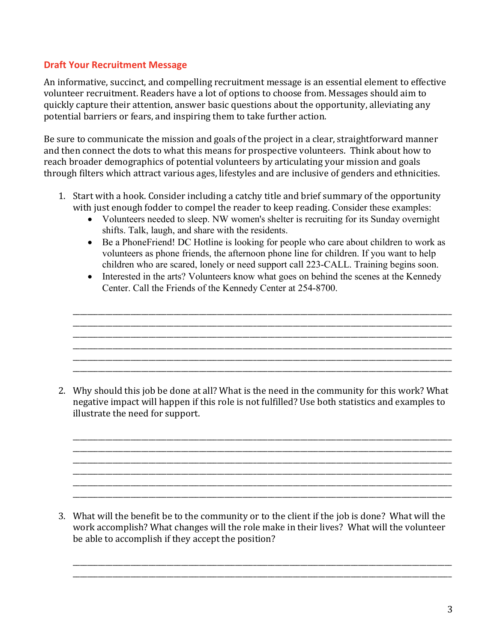#### **Draft Your Recruitment Message**

An informative, succinct, and compelling recruitment message is an essential element to effective volunteer recruitment. Readers have a lot of options to choose from. Messages should aim to quickly capture their attention, answer basic questions about the opportunity, alleviating any potential barriers or fears, and inspiring them to take further action.

Be sure to communicate the mission and goals of the project in a clear, straightforward manner and then connect the dots to what this means for prospective volunteers. Think about how to reach broader demographics of potential volunteers by articulating your mission and goals through filters which attract various ages, lifestyles and are inclusive of genders and ethnicities.

- 1. Start with a hook. Consider including a catchy title and brief summary of the opportunity with just enough fodder to compel the reader to keep reading. Consider these examples:
	- Volunteers needed to sleep. NW women's shelter is recruiting for its Sunday overnight shifts. Talk, laugh, and share with the residents.
	- Be a PhoneFriend! DC Hotline is looking for people who care about children to work as volunteers as phone friends, the afternoon phone line for children. If you want to help children who are scared, lonely or need support call 223-CALL. Training begins soon.
	- Interested in the arts? Volunteers know what goes on behind the scenes at the Kennedy Center. Call the Friends of the Kennedy Center at 254-8700.

\_\_\_\_\_\_\_\_\_\_\_\_\_\_\_\_\_\_\_\_\_\_\_\_\_\_\_\_\_\_\_\_\_\_\_\_\_\_\_\_\_\_\_\_\_\_\_\_\_\_\_\_\_\_\_\_\_\_\_\_\_\_\_\_\_\_\_\_\_\_\_\_\_\_\_\_\_\_\_\_\_\_\_\_\_\_\_\_\_\_\_\_\_\_\_\_\_\_\_\_\_\_\_\_\_ \_\_\_\_\_\_\_\_\_\_\_\_\_\_\_\_\_\_\_\_\_\_\_\_\_\_\_\_\_\_\_\_\_\_\_\_\_\_\_\_\_\_\_\_\_\_\_\_\_\_\_\_\_\_\_\_\_\_\_\_\_\_\_\_\_\_\_\_\_\_\_\_\_\_\_\_\_\_\_\_\_\_\_\_\_\_\_\_\_\_\_\_\_\_\_\_\_\_\_\_\_\_\_\_\_ \_\_\_\_\_\_\_\_\_\_\_\_\_\_\_\_\_\_\_\_\_\_\_\_\_\_\_\_\_\_\_\_\_\_\_\_\_\_\_\_\_\_\_\_\_\_\_\_\_\_\_\_\_\_\_\_\_\_\_\_\_\_\_\_\_\_\_\_\_\_\_\_\_\_\_\_\_\_\_\_\_\_\_\_\_\_\_\_\_\_\_\_\_\_\_\_\_\_\_\_\_\_\_\_\_ \_\_\_\_\_\_\_\_\_\_\_\_\_\_\_\_\_\_\_\_\_\_\_\_\_\_\_\_\_\_\_\_\_\_\_\_\_\_\_\_\_\_\_\_\_\_\_\_\_\_\_\_\_\_\_\_\_\_\_\_\_\_\_\_\_\_\_\_\_\_\_\_\_\_\_\_\_\_\_\_\_\_\_\_\_\_\_\_\_\_\_\_\_\_\_\_\_\_\_\_\_\_\_\_\_ \_\_\_\_\_\_\_\_\_\_\_\_\_\_\_\_\_\_\_\_\_\_\_\_\_\_\_\_\_\_\_\_\_\_\_\_\_\_\_\_\_\_\_\_\_\_\_\_\_\_\_\_\_\_\_\_\_\_\_\_\_\_\_\_\_\_\_\_\_\_\_\_\_\_\_\_\_\_\_\_\_\_\_\_\_\_\_\_\_\_\_\_\_\_\_\_\_\_\_\_\_\_\_\_\_ \_\_\_\_\_\_\_\_\_\_\_\_\_\_\_\_\_\_\_\_\_\_\_\_\_\_\_\_\_\_\_\_\_\_\_\_\_\_\_\_\_\_\_\_\_\_\_\_\_\_\_\_\_\_\_\_\_\_\_\_\_\_\_\_\_\_\_\_\_\_\_\_\_\_\_\_\_\_\_\_\_\_\_\_\_\_\_\_\_\_\_\_\_\_\_\_\_\_\_\_\_\_\_\_\_

2. Why should this job be done at all? What is the need in the community for this work? What negative impact will happen if this role is not fulfilled? Use both statistics and examples to illustrate the need for support.

\_\_\_\_\_\_\_\_\_\_\_\_\_\_\_\_\_\_\_\_\_\_\_\_\_\_\_\_\_\_\_\_\_\_\_\_\_\_\_\_\_\_\_\_\_\_\_\_\_\_\_\_\_\_\_\_\_\_\_\_\_\_\_\_\_\_\_\_\_\_\_\_\_\_\_\_\_\_\_\_\_\_\_\_\_\_\_\_\_\_\_\_\_\_\_\_\_\_\_\_\_\_\_\_\_ \_\_\_\_\_\_\_\_\_\_\_\_\_\_\_\_\_\_\_\_\_\_\_\_\_\_\_\_\_\_\_\_\_\_\_\_\_\_\_\_\_\_\_\_\_\_\_\_\_\_\_\_\_\_\_\_\_\_\_\_\_\_\_\_\_\_\_\_\_\_\_\_\_\_\_\_\_\_\_\_\_\_\_\_\_\_\_\_\_\_\_\_\_\_\_\_\_\_\_\_\_\_\_\_\_ \_\_\_\_\_\_\_\_\_\_\_\_\_\_\_\_\_\_\_\_\_\_\_\_\_\_\_\_\_\_\_\_\_\_\_\_\_\_\_\_\_\_\_\_\_\_\_\_\_\_\_\_\_\_\_\_\_\_\_\_\_\_\_\_\_\_\_\_\_\_\_\_\_\_\_\_\_\_\_\_\_\_\_\_\_\_\_\_\_\_\_\_\_\_\_\_\_\_\_\_\_\_\_\_\_ \_\_\_\_\_\_\_\_\_\_\_\_\_\_\_\_\_\_\_\_\_\_\_\_\_\_\_\_\_\_\_\_\_\_\_\_\_\_\_\_\_\_\_\_\_\_\_\_\_\_\_\_\_\_\_\_\_\_\_\_\_\_\_\_\_\_\_\_\_\_\_\_\_\_\_\_\_\_\_\_\_\_\_\_\_\_\_\_\_\_\_\_\_\_\_\_\_\_\_\_\_\_\_\_\_ \_\_\_\_\_\_\_\_\_\_\_\_\_\_\_\_\_\_\_\_\_\_\_\_\_\_\_\_\_\_\_\_\_\_\_\_\_\_\_\_\_\_\_\_\_\_\_\_\_\_\_\_\_\_\_\_\_\_\_\_\_\_\_\_\_\_\_\_\_\_\_\_\_\_\_\_\_\_\_\_\_\_\_\_\_\_\_\_\_\_\_\_\_\_\_\_\_\_\_\_\_\_\_\_\_ \_\_\_\_\_\_\_\_\_\_\_\_\_\_\_\_\_\_\_\_\_\_\_\_\_\_\_\_\_\_\_\_\_\_\_\_\_\_\_\_\_\_\_\_\_\_\_\_\_\_\_\_\_\_\_\_\_\_\_\_\_\_\_\_\_\_\_\_\_\_\_\_\_\_\_\_\_\_\_\_\_\_\_\_\_\_\_\_\_\_\_\_\_\_\_\_\_\_\_\_\_\_\_\_\_

3. What will the benefit be to the community or to the client if the job is done? What will the work accomplish? What changes will the role make in their lives? What will the volunteer be able to accomplish if they accept the position?

\_\_\_\_\_\_\_\_\_\_\_\_\_\_\_\_\_\_\_\_\_\_\_\_\_\_\_\_\_\_\_\_\_\_\_\_\_\_\_\_\_\_\_\_\_\_\_\_\_\_\_\_\_\_\_\_\_\_\_\_\_\_\_\_\_\_\_\_\_\_\_\_\_\_\_\_\_\_\_\_\_\_\_\_\_\_\_\_\_\_\_\_\_\_\_\_\_\_\_\_\_\_\_\_\_ \_\_\_\_\_\_\_\_\_\_\_\_\_\_\_\_\_\_\_\_\_\_\_\_\_\_\_\_\_\_\_\_\_\_\_\_\_\_\_\_\_\_\_\_\_\_\_\_\_\_\_\_\_\_\_\_\_\_\_\_\_\_\_\_\_\_\_\_\_\_\_\_\_\_\_\_\_\_\_\_\_\_\_\_\_\_\_\_\_\_\_\_\_\_\_\_\_\_\_\_\_\_\_\_\_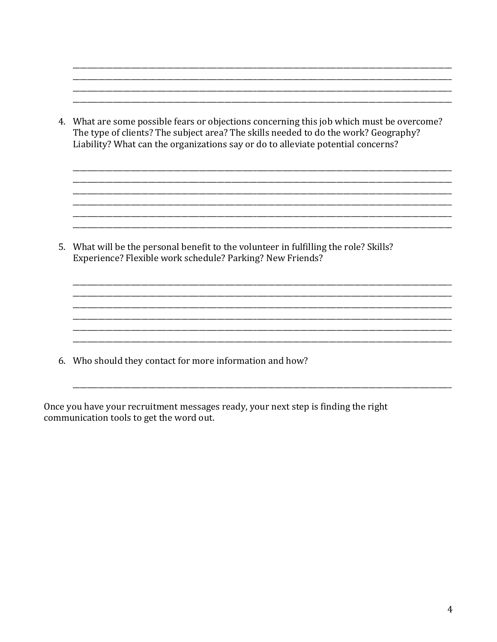4. What are some possible fears or objections concerning this job which must be overcome? The type of clients? The subject area? The skills needed to do the work? Geography? Liability? What can the organizations say or do to alleviate potential concerns?

5. What will be the personal benefit to the volunteer in fulfilling the role? Skills? Experience? Flexible work schedule? Parking? New Friends?

6. Who should they contact for more information and how?

Once you have your recruitment messages ready, your next step is finding the right communication tools to get the word out.